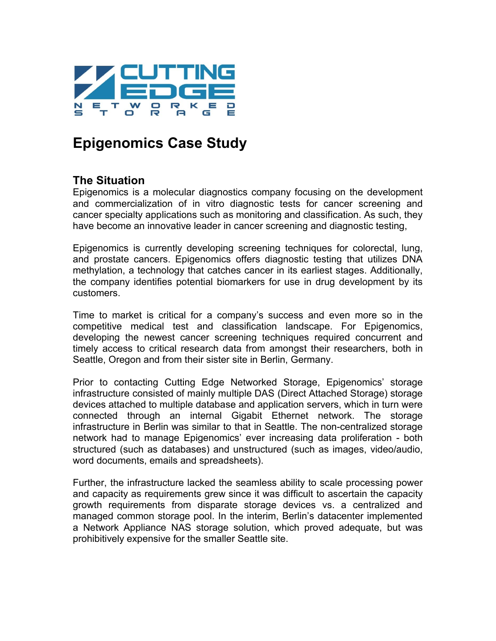

# **Epigenomics Case Study**

## **The Situation**

Epigenomics is a molecular diagnostics company focusing on the development and commercialization of in vitro diagnostic tests for cancer screening and cancer specialty applications such as monitoring and classification. As such, they have become an innovative leader in cancer screening and diagnostic testing,

Epigenomics is currently developing screening techniques for colorectal, lung, and prostate cancers. Epigenomics offers diagnostic testing that utilizes DNA methylation, a technology that catches cancer in its earliest stages. Additionally, the company identifies potential biomarkers for use in drug development by its customers.

Time to market is critical for a company's success and even more so in the competitive medical test and classification landscape. For Epigenomics, developing the newest cancer screening techniques required concurrent and timely access to critical research data from amongst their researchers, both in Seattle, Oregon and from their sister site in Berlin, Germany.

Prior to contacting Cutting Edge Networked Storage, Epigenomics' storage infrastructure consisted of mainly multiple DAS (Direct Attached Storage) storage devices attached to multiple database and application servers, which in turn were connected through an internal Gigabit Ethernet network. The storage infrastructure in Berlin was similar to that in Seattle. The non-centralized storage network had to manage Epigenomics' ever increasing data proliferation - both structured (such as databases) and unstructured (such as images, video/audio, word documents, emails and spreadsheets).

Further, the infrastructure lacked the seamless ability to scale processing power and capacity as requirements grew since it was difficult to ascertain the capacity growth requirements from disparate storage devices vs. a centralized and managed common storage pool. In the interim, Berlin's datacenter implemented a Network Appliance NAS storage solution, which proved adequate, but was prohibitively expensive for the smaller Seattle site.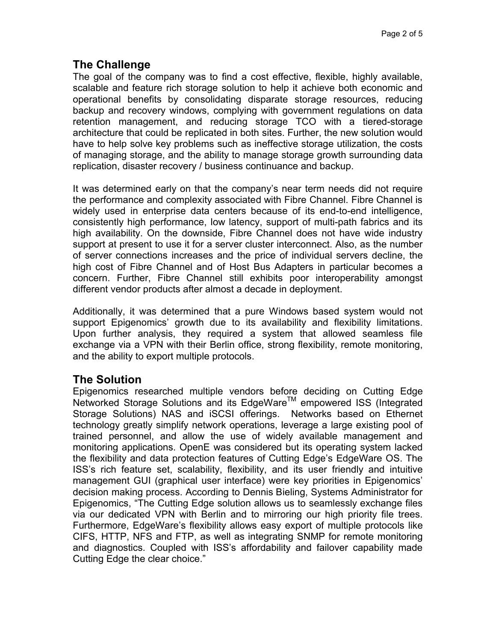### **The Challenge**

The goal of the company was to find a cost effective, flexible, highly available, scalable and feature rich storage solution to help it achieve both economic and operational benefits by consolidating disparate storage resources, reducing backup and recovery windows, complying with government regulations on data retention management, and reducing storage TCO with a tiered-storage architecture that could be replicated in both sites. Further, the new solution would have to help solve key problems such as ineffective storage utilization, the costs of managing storage, and the ability to manage storage growth surrounding data replication, disaster recovery / business continuance and backup.

It was determined early on that the company's near term needs did not require the performance and complexity associated with Fibre Channel. Fibre Channel is widely used in enterprise data centers because of its end-to-end intelligence, consistently high performance, low latency, support of multi-path fabrics and its high availability. On the downside, Fibre Channel does not have wide industry support at present to use it for a server cluster interconnect. Also, as the number of server connections increases and the price of individual servers decline, the high cost of Fibre Channel and of Host Bus Adapters in particular becomes a concern. Further, Fibre Channel still exhibits poor interoperability amongst different vendor products after almost a decade in deployment.

Additionally, it was determined that a pure Windows based system would not support Epigenomics' growth due to its availability and flexibility limitations. Upon further analysis, they required a system that allowed seamless file exchange via a VPN with their Berlin office, strong flexibility, remote monitoring, and the ability to export multiple protocols.

#### **The Solution**

Epigenomics researched multiple vendors before deciding on Cutting Edge Networked Storage Solutions and its EdgeWare™ empowered ISS (Integrated Storage Solutions) NAS and iSCSI offerings. Networks based on Ethernet technology greatly simplify network operations, leverage a large existing pool of trained personnel, and allow the use of widely available management and monitoring applications. OpenE was considered but its operating system lacked the flexibility and data protection features of Cutting Edge's EdgeWare OS. The ISS's rich feature set, scalability, flexibility, and its user friendly and intuitive management GUI (graphical user interface) were key priorities in Epigenomics' decision making process. According to Dennis Bieling, Systems Administrator for Epigenomics, "The Cutting Edge solution allows us to seamlessly exchange files via our dedicated VPN with Berlin and to mirroring our high priority file trees. Furthermore, EdgeWare's flexibility allows easy export of multiple protocols like CIFS, HTTP, NFS and FTP, as well as integrating SNMP for remote monitoring and diagnostics. Coupled with ISS's affordability and failover capability made Cutting Edge the clear choice."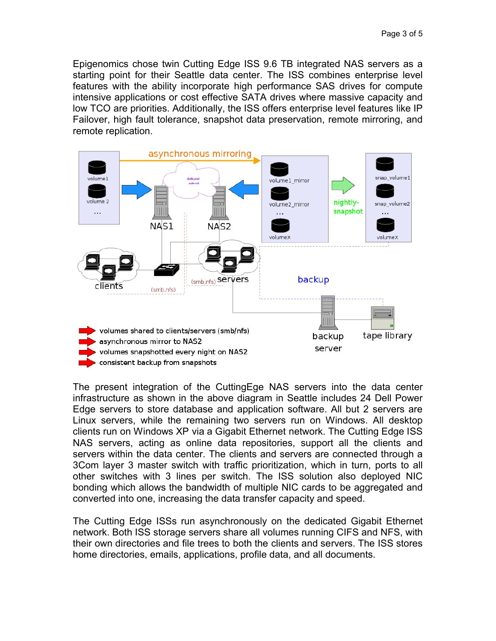Epigenomics chose twin Cutting Edge ISS 9.6 TB integrated NAS servers as a starting point for their Seattle data center. The ISS combines enterprise level features with the ability incorporate high performance SAS drives for compute intensive applications or cost effective SATA drives where massive capacity and low TCO are priorities. Additionally, the ISS offers enterprise level features like IP Failover, high fault tolerance, snapshot data preservation, remote mirroring, and remote replication.



The present integration of the CuttingEge NAS servers into the data center infrastructure as shown in the above diagram in Seattle includes 24 Dell Power Edge servers to store database and application software. All but 2 servers are Linux servers, while the remaining two servers run on Windows. All desktop clients run on Windows XP via a Gigabit Ethernet network. The Cutting Edge ISS NAS servers, acting as online data repositories, support all the clients and servers within the data center. The clients and servers are connected through a 3Com layer 3 master switch with traffic prioritization, which in turn, ports to all other switches with 3 lines per switch. The ISS solution also deployed NIC bonding which allows the bandwidth of multiple NIC cards to be aggregated and converted into one, increasing the data transfer capacity and speed.

The Cutting Edge ISSs run asynchronously on the dedicated Gigabit Ethernet network. Both ISS storage servers share all volumes running CIFS and NFS, with their own directories and file trees to both the clients and servers. The ISS stores home directories, emails, applications, profile data, and all documents.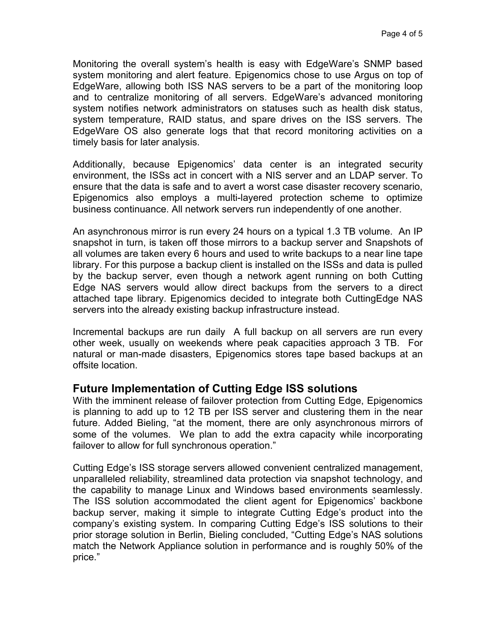Monitoring the overall system's health is easy with EdgeWare's SNMP based system monitoring and alert feature. Epigenomics chose to use Argus on top of EdgeWare, allowing both ISS NAS servers to be a part of the monitoring loop and to centralize monitoring of all servers. EdgeWare's advanced monitoring system notifies network administrators on statuses such as health disk status, system temperature, RAID status, and spare drives on the ISS servers. The EdgeWare OS also generate logs that that record monitoring activities on a timely basis for later analysis.

Additionally, because Epigenomics' data center is an integrated security environment, the ISSs act in concert with a NIS server and an LDAP server. To ensure that the data is safe and to avert a worst case disaster recovery scenario, Epigenomics also employs a multi-layered protection scheme to optimize business continuance. All network servers run independently of one another.

An asynchronous mirror is run every 24 hours on a typical 1.3 TB volume. An IP snapshot in turn, is taken off those mirrors to a backup server and Snapshots of all volumes are taken every 6 hours and used to write backups to a near line tape library. For this purpose a backup client is installed on the ISSs and data is pulled by the backup server, even though a network agent running on both Cutting Edge NAS servers would allow direct backups from the servers to a direct attached tape library. Epigenomics decided to integrate both CuttingEdge NAS servers into the already existing backup infrastructure instead.

Incremental backups are run daily A full backup on all servers are run every other week, usually on weekends where peak capacities approach 3 TB. For natural or man-made disasters, Epigenomics stores tape based backups at an offsite location.

#### **Future Implementation of Cutting Edge ISS solutions**

With the imminent release of failover protection from Cutting Edge, Epigenomics is planning to add up to 12 TB per ISS server and clustering them in the near future. Added Bieling, "at the moment, there are only asynchronous mirrors of some of the volumes. We plan to add the extra capacity while incorporating failover to allow for full synchronous operation."

Cutting Edge's ISS storage servers allowed convenient centralized management, unparalleled reliability, streamlined data protection via snapshot technology, and the capability to manage Linux and Windows based environments seamlessly. The ISS solution accommodated the client agent for Epigenomics' backbone backup server, making it simple to integrate Cutting Edge's product into the company's existing system. In comparing Cutting Edge's ISS solutions to their prior storage solution in Berlin, Bieling concluded, "Cutting Edge's NAS solutions match the Network Appliance solution in performance and is roughly 50% of the price."